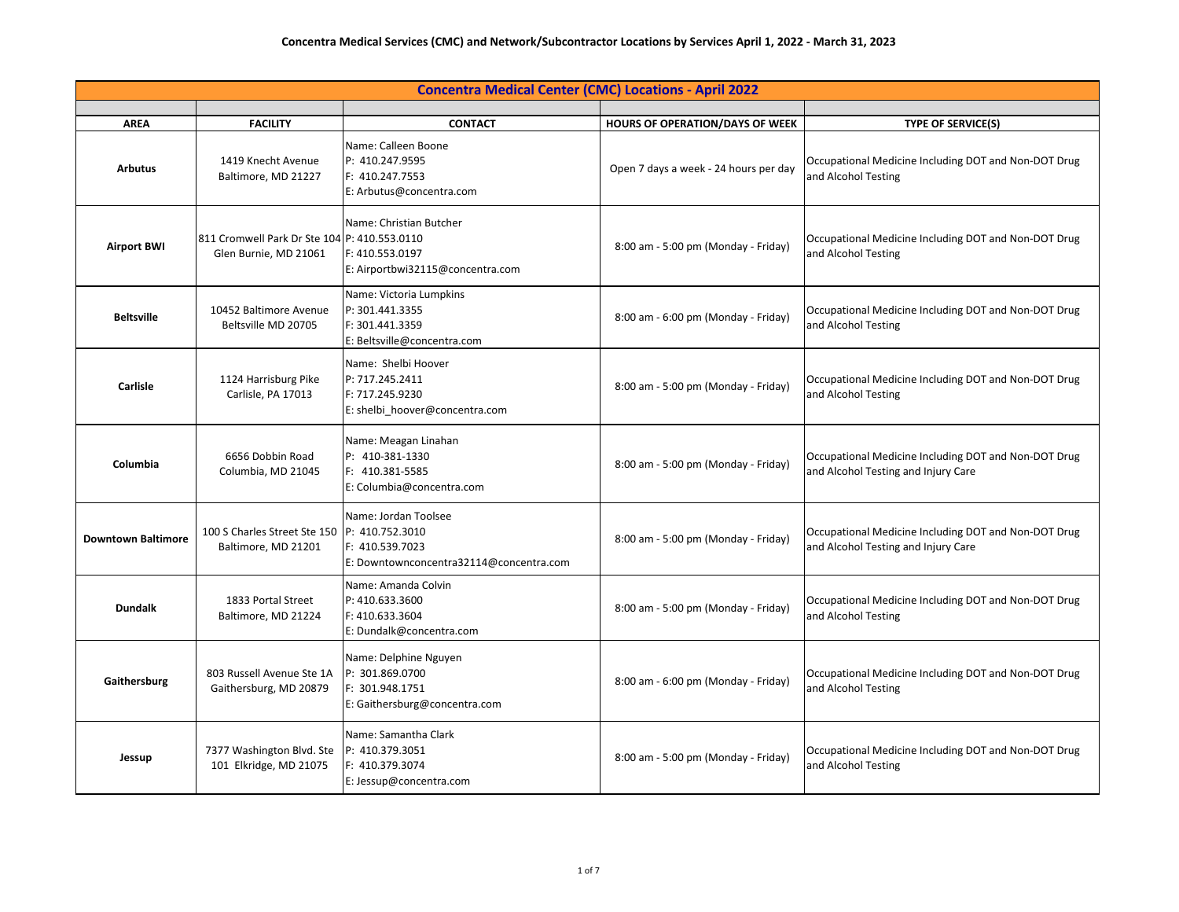| <b>Concentra Medical Center (CMC) Locations - April 2022</b> |                                                                       |                                                                                                       |                                       |                                                                                             |
|--------------------------------------------------------------|-----------------------------------------------------------------------|-------------------------------------------------------------------------------------------------------|---------------------------------------|---------------------------------------------------------------------------------------------|
| <b>AREA</b>                                                  | <b>FACILITY</b>                                                       | <b>CONTACT</b>                                                                                        | HOURS OF OPERATION/DAYS OF WEEK       | <b>TYPE OF SERVICE(S)</b>                                                                   |
| <b>Arbutus</b>                                               | 1419 Knecht Avenue<br>Baltimore, MD 21227                             | Name: Calleen Boone<br>P: 410.247.9595<br>F: 410.247.7553<br>E: Arbutus@concentra.com                 | Open 7 days a week - 24 hours per day | Occupational Medicine Including DOT and Non-DOT Drug<br>and Alcohol Testing                 |
| <b>Airport BWI</b>                                           | 811 Cromwell Park Dr Ste 104 P: 410.553.0110<br>Glen Burnie, MD 21061 | Name: Christian Butcher<br>F: 410.553.0197<br>E: Airportbwi32115@concentra.com                        | 8:00 am - 5:00 pm (Monday - Friday)   | Occupational Medicine Including DOT and Non-DOT Drug<br>and Alcohol Testing                 |
| <b>Beltsville</b>                                            | 10452 Baltimore Avenue<br>Beltsville MD 20705                         | Name: Victoria Lumpkins<br>P: 301.441.3355<br>F: 301.441.3359<br>E: Beltsville@concentra.com          | 8:00 am - 6:00 pm (Monday - Friday)   | Occupational Medicine Including DOT and Non-DOT Drug<br>and Alcohol Testing                 |
| <b>Carlisle</b>                                              | 1124 Harrisburg Pike<br>Carlisle, PA 17013                            | Name: Shelbi Hoover<br>P: 717.245.2411<br>F: 717.245.9230<br>E: shelbi_hoover@concentra.com           | 8:00 am - 5:00 pm (Monday - Friday)   | Occupational Medicine Including DOT and Non-DOT Drug<br>and Alcohol Testing                 |
| Columbia                                                     | 6656 Dobbin Road<br>Columbia, MD 21045                                | Name: Meagan Linahan<br>P: 410-381-1330<br>F: 410.381-5585<br>E: Columbia@concentra.com               | 8:00 am - 5:00 pm (Monday - Friday)   | Occupational Medicine Including DOT and Non-DOT Drug<br>and Alcohol Testing and Injury Care |
| <b>Downtown Baltimore</b>                                    | 100 S Charles Street Ste 150<br>Baltimore, MD 21201                   | Name: Jordan Toolsee<br>P: 410.752.3010<br>F: 410.539.7023<br>E: Downtownconcentra32114@concentra.com | 8:00 am - 5:00 pm (Monday - Friday)   | Occupational Medicine Including DOT and Non-DOT Drug<br>and Alcohol Testing and Injury Care |
| <b>Dundalk</b>                                               | 1833 Portal Street<br>Baltimore, MD 21224                             | Name: Amanda Colvin<br>P: 410.633.3600<br>F: 410.633.3604<br>E: Dundalk@concentra.com                 | 8:00 am - 5:00 pm (Monday - Friday)   | Occupational Medicine Including DOT and Non-DOT Drug<br>and Alcohol Testing                 |
| Gaithersburg                                                 | 803 Russell Avenue Ste 1A<br>Gaithersburg, MD 20879                   | Name: Delphine Nguyen<br>P: 301.869.0700<br>F: 301.948.1751<br>E: Gaithersburg@concentra.com          | 8:00 am - 6:00 pm (Monday - Friday)   | Occupational Medicine Including DOT and Non-DOT Drug<br>and Alcohol Testing                 |
| Jessup                                                       | 7377 Washington Blvd. Ste<br>101 Elkridge, MD 21075                   | Name: Samantha Clark<br>P: 410.379.3051<br>F: 410.379.3074<br>E: Jessup@concentra.com                 | 8:00 am - 5:00 pm (Monday - Friday)   | Occupational Medicine Including DOT and Non-DOT Drug<br>and Alcohol Testing                 |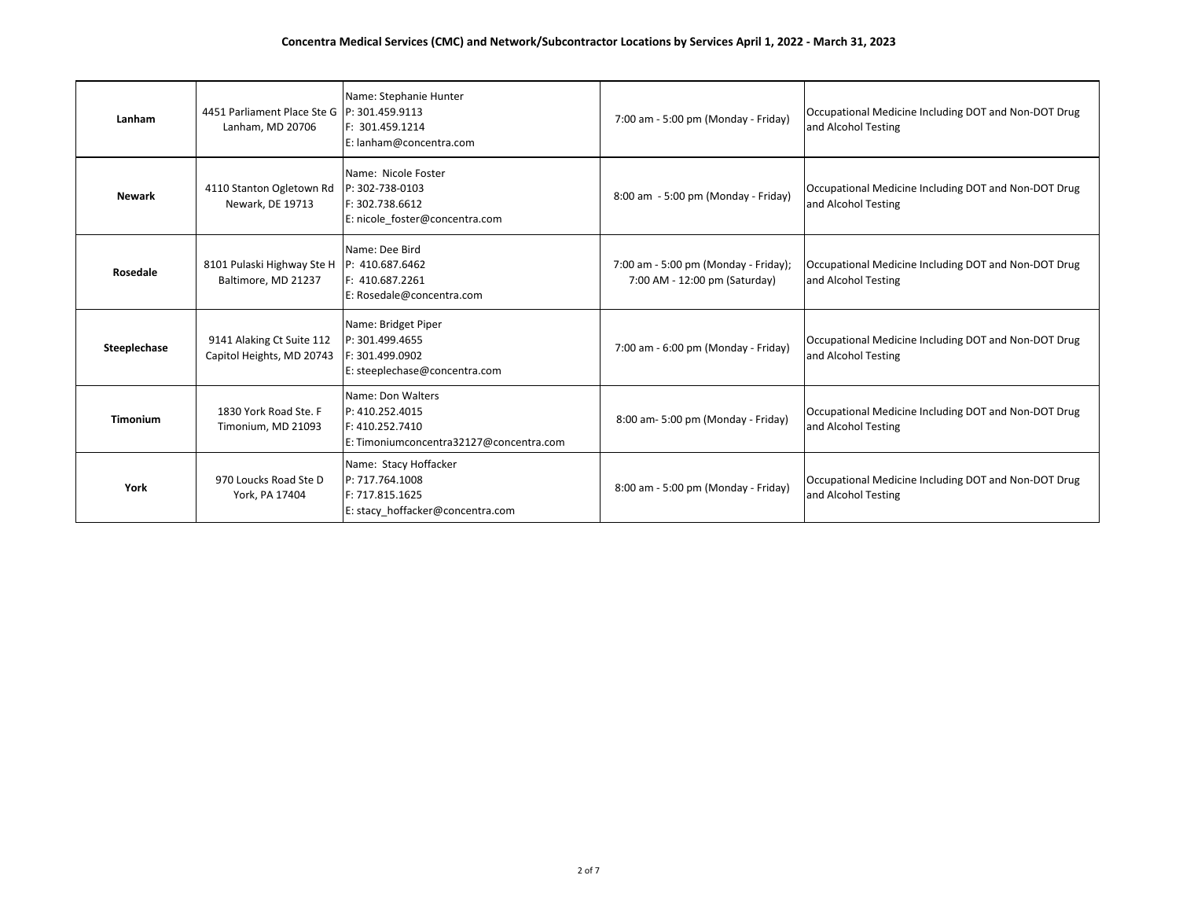## **Concentra Medical Services (CMC) and Network/Subcontractor Locations by Services April 1, 2022 - March 31, 2023**

| Lanham          | 4451 Parliament Place Ste G   P: 301.459.9113<br>Lanham, MD 20706 | Name: Stephanie Hunter<br>F: 301.459.1214<br>E: lanham@concentra.com                               | 7:00 am - 5:00 pm (Monday - Friday)                                   | Occupational Medicine Including DOT and Non-DOT Drug<br>and Alcohol Testing |
|-----------------|-------------------------------------------------------------------|----------------------------------------------------------------------------------------------------|-----------------------------------------------------------------------|-----------------------------------------------------------------------------|
| <b>Newark</b>   | 4110 Stanton Ogletown Rd<br>Newark, DE 19713                      | Name: Nicole Foster<br>P: 302-738-0103<br>F: 302.738.6612<br>E: nicole foster@concentra.com        | 8:00 am - 5:00 pm (Monday - Friday)                                   | Occupational Medicine Including DOT and Non-DOT Drug<br>and Alcohol Testing |
| Rosedale        | 8101 Pulaski Highway Ste H<br>Baltimore, MD 21237                 | Name: Dee Bird<br>P: 410.687.6462<br>F: 410.687.2261<br>E: Rosedale@concentra.com                  | 7:00 am - 5:00 pm (Monday - Friday);<br>7:00 AM - 12:00 pm (Saturday) | Occupational Medicine Including DOT and Non-DOT Drug<br>and Alcohol Testing |
| Steeplechase    | 9141 Alaking Ct Suite 112<br>Capitol Heights, MD 20743            | Name: Bridget Piper<br>P: 301.499.4655<br>F: 301.499.0902<br>E: steeplechase@concentra.com         | 7:00 am - 6:00 pm (Monday - Friday)                                   | Occupational Medicine Including DOT and Non-DOT Drug<br>and Alcohol Testing |
| <b>Timonium</b> | 1830 York Road Ste. F<br>Timonium, MD 21093                       | Name: Don Walters<br>P: 410.252.4015<br>F: 410.252.7410<br>E: Timoniumconcentra32127@concentra.com | 8:00 am- 5:00 pm (Monday - Friday)                                    | Occupational Medicine Including DOT and Non-DOT Drug<br>and Alcohol Testing |
| York            | 970 Loucks Road Ste D<br>York. PA 17404                           | Name: Stacy Hoffacker<br>P: 717.764.1008<br>F: 717.815.1625<br>E: stacy hoffacker@concentra.com    | 8:00 am - 5:00 pm (Monday - Friday)                                   | Occupational Medicine Including DOT and Non-DOT Drug<br>and Alcohol Testing |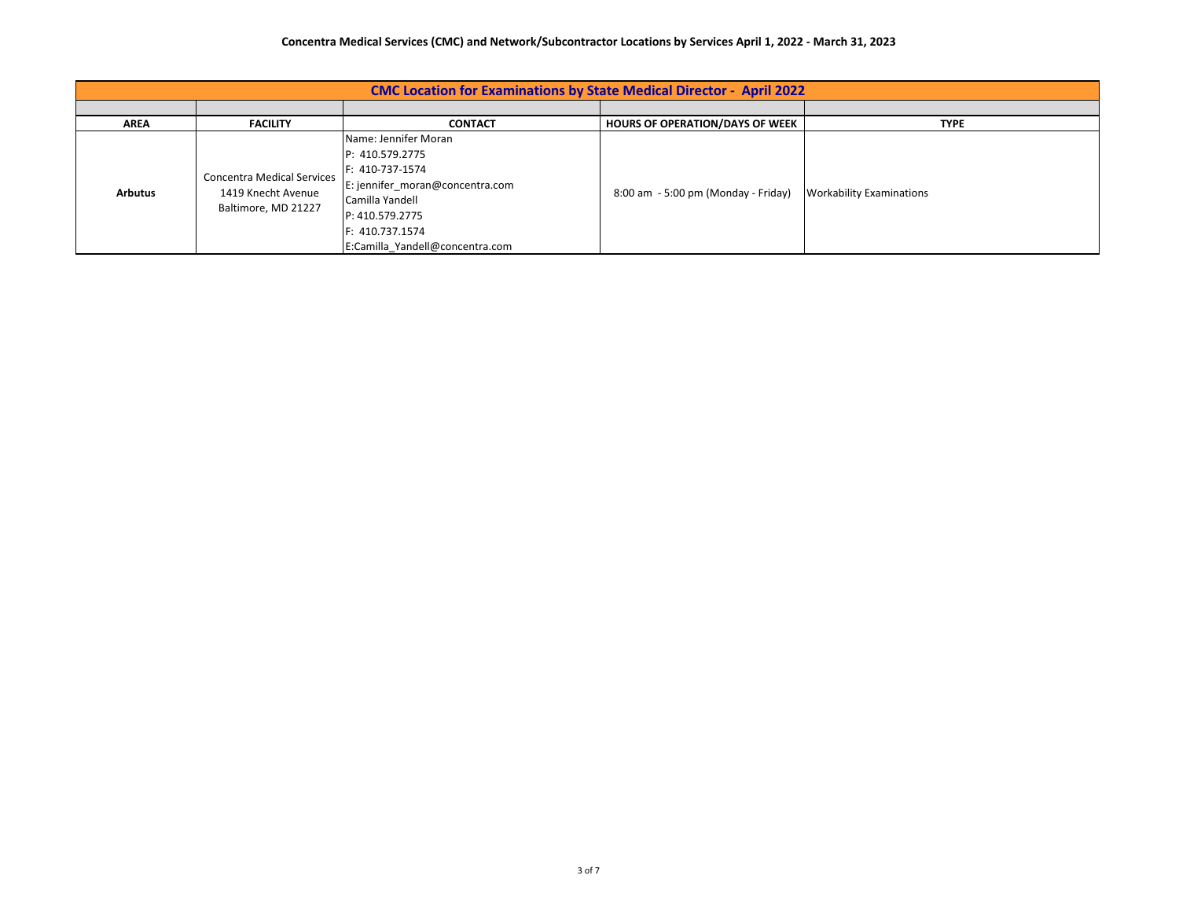## **Concentra Medical Services (CMC) and Network/Subcontractor Locations by Services April 1, 2022 - March 31, 2023**

| <b>CMC Location for Examinations by State Medical Director - April 2022</b> |                                                                                |                                                                                                                                                                                           |                                        |                                 |  |
|-----------------------------------------------------------------------------|--------------------------------------------------------------------------------|-------------------------------------------------------------------------------------------------------------------------------------------------------------------------------------------|----------------------------------------|---------------------------------|--|
|                                                                             |                                                                                |                                                                                                                                                                                           |                                        |                                 |  |
| <b>AREA</b>                                                                 | <b>FACILITY</b>                                                                | <b>CONTACT</b>                                                                                                                                                                            | <b>HOURS OF OPERATION/DAYS OF WEEK</b> | <b>TYPE</b>                     |  |
| <b>Arbutus</b>                                                              | <b>Concentra Medical Services</b><br>1419 Knecht Avenue<br>Baltimore, MD 21227 | Name: Jennifer Moran<br>P: 410.579.2775<br>F: 410-737-1574<br>E: jennifer_moran@concentra.com<br>Camilla Yandell<br>P: 410.579.2775<br>F: 410.737.1574<br>E:Camilla Yandell@concentra.com | 8:00 am - 5:00 pm (Monday - Friday)    | <b>Workability Examinations</b> |  |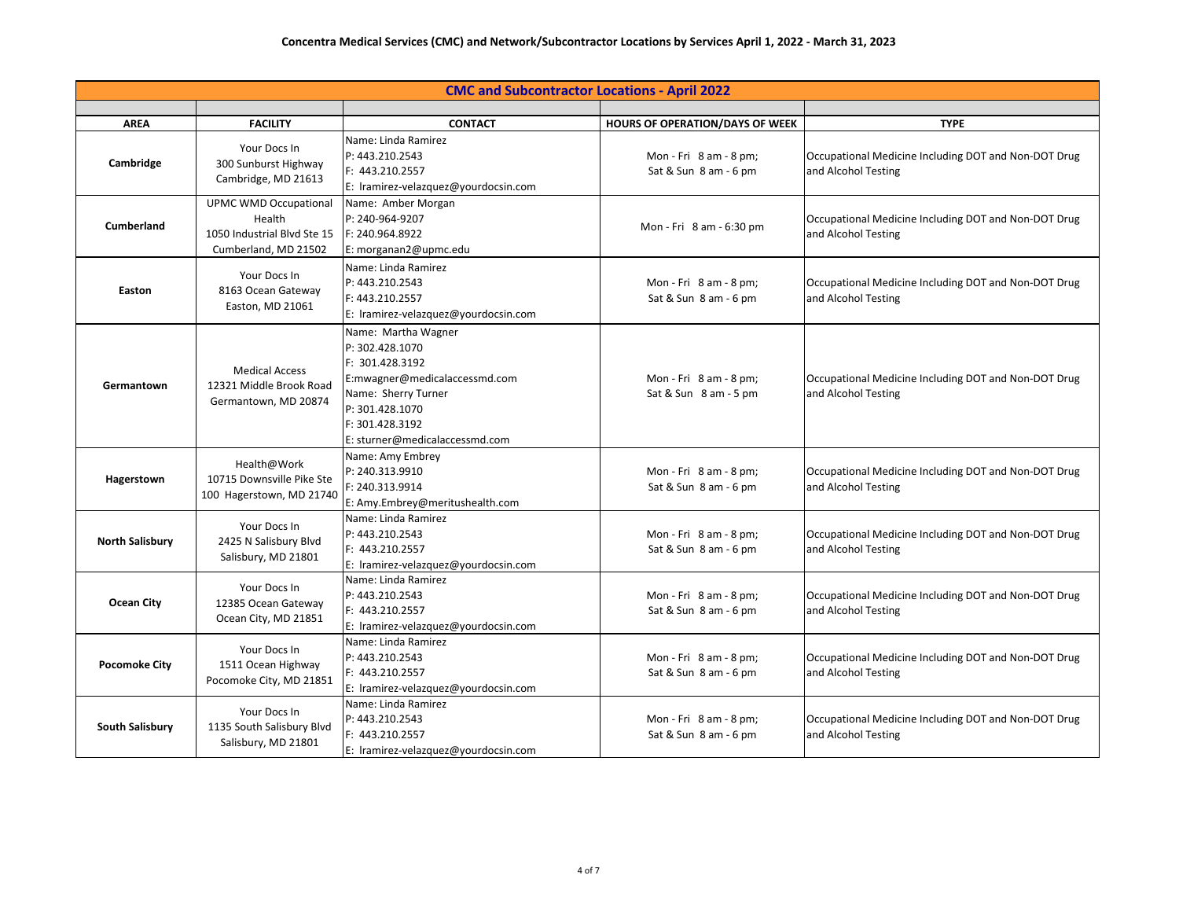| <b>CMC and Subcontractor Locations - April 2022</b> |                                                                                        |                                                                                                                                                                                           |                                                 |                                                                             |
|-----------------------------------------------------|----------------------------------------------------------------------------------------|-------------------------------------------------------------------------------------------------------------------------------------------------------------------------------------------|-------------------------------------------------|-----------------------------------------------------------------------------|
|                                                     |                                                                                        |                                                                                                                                                                                           |                                                 |                                                                             |
| <b>AREA</b>                                         | <b>FACILITY</b>                                                                        | <b>CONTACT</b>                                                                                                                                                                            | <b>HOURS OF OPERATION/DAYS OF WEEK</b>          | <b>TYPE</b>                                                                 |
| Cambridge                                           | Your Docs In<br>300 Sunburst Highway<br>Cambridge, MD 21613                            | Name: Linda Ramirez<br>P: 443.210.2543<br>F: 443.210.2557<br>E: Iramirez-velazquez@yourdocsin.com                                                                                         | Mon - Fri 8 am - 8 pm;<br>Sat & Sun 8 am - 6 pm | Occupational Medicine Including DOT and Non-DOT Drug<br>and Alcohol Testing |
| <b>Cumberland</b>                                   | UPMC WMD Occupational<br>Health<br>1050 Industrial Blvd Ste 15<br>Cumberland, MD 21502 | Name: Amber Morgan<br>P: 240-964-9207<br>F: 240.964.8922<br>E: morganan2@upmc.edu                                                                                                         | Mon - Fri 8 am - 6:30 pm                        | Occupational Medicine Including DOT and Non-DOT Drug<br>and Alcohol Testing |
| Easton                                              | Your Docs In<br>8163 Ocean Gateway<br>Easton, MD 21061                                 | Name: Linda Ramirez<br>P: 443.210.2543<br>F: 443.210.2557<br>E: Iramirez-velazquez@yourdocsin.com                                                                                         | Mon-Fri 8 am - 8 pm;<br>Sat & Sun 8 am - 6 pm   | Occupational Medicine Including DOT and Non-DOT Drug<br>and Alcohol Testing |
| Germantown                                          | <b>Medical Access</b><br>12321 Middle Brook Road<br>Germantown, MD 20874               | Name: Martha Wagner<br>P: 302.428.1070<br>F: 301.428.3192<br>E:mwagner@medicalaccessmd.com<br>Name: Sherry Turner<br>P: 301.428.1070<br>F: 301.428.3192<br>E: sturner@medicalaccessmd.com | Mon-Fri 8 am - 8 pm;<br>Sat & Sun 8 am - 5 pm   | Occupational Medicine Including DOT and Non-DOT Drug<br>and Alcohol Testing |
| Hagerstown                                          | Health@Work<br>10715 Downsville Pike Ste<br>100 Hagerstown, MD 21740                   | Name: Amy Embrey<br>P: 240.313.9910<br>F: 240.313.9914<br>E: Amy.Embrey@meritushealth.com                                                                                                 | Mon - Fri 8 am - 8 pm;<br>Sat & Sun 8 am - 6 pm | Occupational Medicine Including DOT and Non-DOT Drug<br>and Alcohol Testing |
| <b>North Salisbury</b>                              | Your Docs In<br>2425 N Salisbury Blvd<br>Salisbury, MD 21801                           | Name: Linda Ramirez<br>P: 443.210.2543<br>F: 443.210.2557<br>E: Iramirez-velazquez@yourdocsin.com                                                                                         | Mon-Fri 8 am - 8 pm;<br>Sat & Sun 8 am - 6 pm   | Occupational Medicine Including DOT and Non-DOT Drug<br>and Alcohol Testing |
| Ocean City                                          | Your Docs In<br>12385 Ocean Gateway<br>Ocean City, MD 21851                            | Name: Linda Ramirez<br>P: 443.210.2543<br>F: 443.210.2557<br>E: Iramirez-velazquez@yourdocsin.com                                                                                         | Mon-Fri 8 am - 8 pm;<br>Sat & Sun 8 am - 6 pm   | Occupational Medicine Including DOT and Non-DOT Drug<br>and Alcohol Testing |
| <b>Pocomoke City</b>                                | Your Docs In<br>1511 Ocean Highway<br>Pocomoke City, MD 21851                          | Name: Linda Ramirez<br>P: 443.210.2543<br>F: 443.210.2557<br>E: Iramirez-velazquez@yourdocsin.com                                                                                         | Mon-Fri 8 am - 8 pm;<br>Sat & Sun 8 am - 6 pm   | Occupational Medicine Including DOT and Non-DOT Drug<br>and Alcohol Testing |
| South Salisbury                                     | Your Docs In<br>1135 South Salisbury Blvd<br>Salisbury, MD 21801                       | Name: Linda Ramirez<br>P: 443.210.2543<br>F: 443.210.2557<br>E: Iramirez-velazquez@yourdocsin.com                                                                                         | Mon-Fri 8 am - 8 pm;<br>Sat & Sun 8 am - 6 pm   | Occupational Medicine Including DOT and Non-DOT Drug<br>and Alcohol Testing |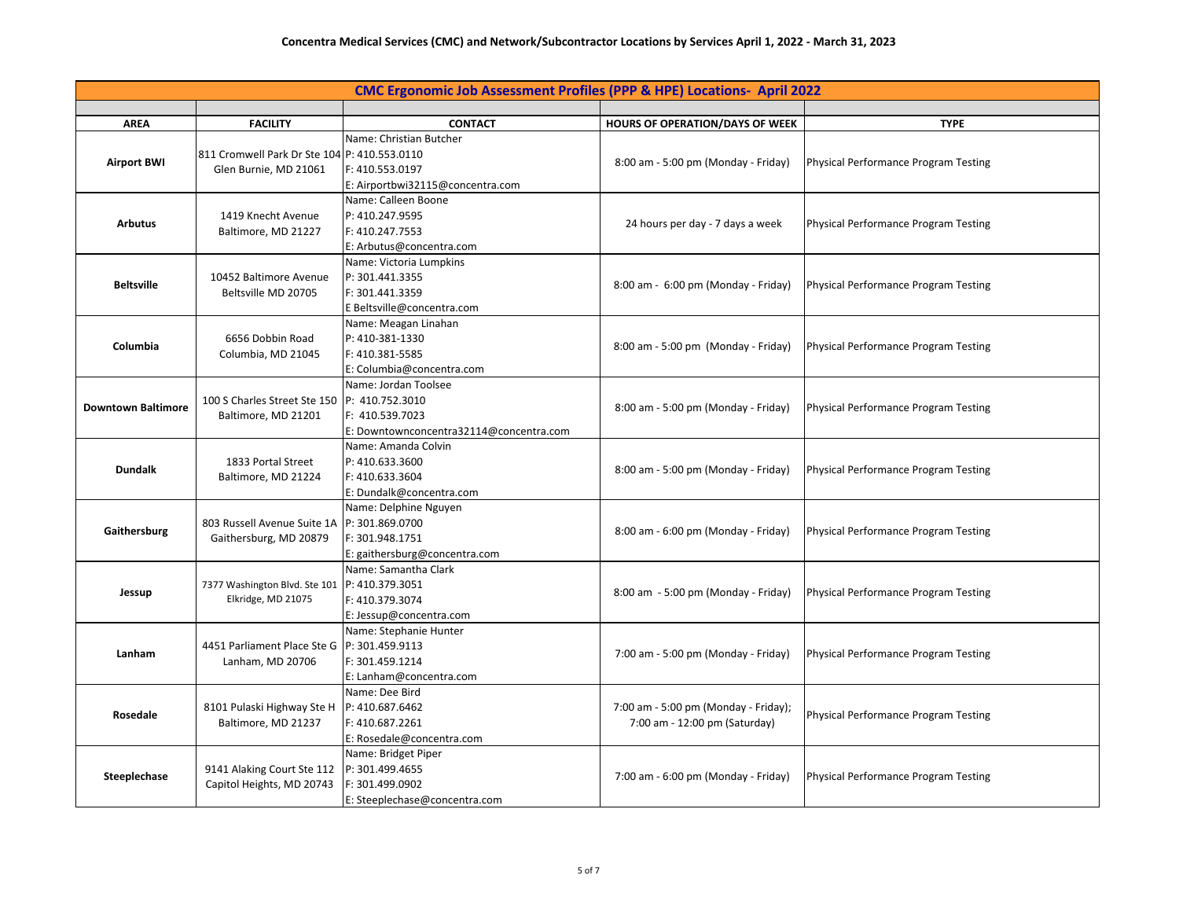| CMC Ergonomic Job Assessment Profiles (PPP & HPE) Locations- April 2022 |                                                                       |                                                                                                       |                                                                       |                                             |
|-------------------------------------------------------------------------|-----------------------------------------------------------------------|-------------------------------------------------------------------------------------------------------|-----------------------------------------------------------------------|---------------------------------------------|
|                                                                         |                                                                       |                                                                                                       |                                                                       |                                             |
| <b>AREA</b>                                                             | <b>FACILITY</b>                                                       | <b>CONTACT</b>                                                                                        | HOURS OF OPERATION/DAYS OF WEEK                                       | <b>TYPE</b>                                 |
| <b>Airport BWI</b>                                                      | 811 Cromwell Park Dr Ste 104 P: 410.553.0110<br>Glen Burnie, MD 21061 | Name: Christian Butcher<br>F: 410.553.0197<br>E: Airportbwi32115@concentra.com                        | 8:00 am - 5:00 pm (Monday - Friday)                                   | <b>Physical Performance Program Testing</b> |
| <b>Arbutus</b>                                                          | 1419 Knecht Avenue<br>Baltimore, MD 21227                             | Name: Calleen Boone<br>P: 410.247.9595<br>F: 410.247.7553<br>E: Arbutus@concentra.com                 | 24 hours per day - 7 days a week                                      | <b>Physical Performance Program Testing</b> |
| <b>Beltsville</b>                                                       | 10452 Baltimore Avenue<br>Beltsville MD 20705                         | Name: Victoria Lumpkins<br>P: 301.441.3355<br>F: 301.441.3359<br>E Beltsville@concentra.com           | 8:00 am - 6:00 pm (Monday - Friday)                                   | <b>Physical Performance Program Testing</b> |
| Columbia                                                                | 6656 Dobbin Road<br>Columbia, MD 21045                                | Name: Meagan Linahan<br>P: 410-381-1330<br>F: 410.381-5585<br>E: Columbia@concentra.com               | 8:00 am - 5:00 pm (Monday - Friday)                                   | Physical Performance Program Testing        |
| <b>Downtown Baltimore</b>                                               | 100 S Charles Street Ste 150<br>Baltimore, MD 21201                   | Name: Jordan Toolsee<br>P: 410.752.3010<br>F: 410.539.7023<br>E: Downtownconcentra32114@concentra.com | 8:00 am - 5:00 pm (Monday - Friday)                                   | <b>Physical Performance Program Testing</b> |
| <b>Dundalk</b>                                                          | 1833 Portal Street<br>Baltimore, MD 21224                             | Name: Amanda Colvin<br>P: 410.633.3600<br>F: 410.633.3604<br>E: Dundalk@concentra.com                 | 8:00 am - 5:00 pm (Monday - Friday)                                   | <b>Physical Performance Program Testing</b> |
| Gaithersburg                                                            | 803 Russell Avenue Suite 1A<br>Gaithersburg, MD 20879                 | Name: Delphine Nguyen<br>P: 301.869.0700<br>F: 301.948.1751<br>E: gaithersburg@concentra.com          | 8:00 am - 6:00 pm (Monday - Friday)                                   | <b>Physical Performance Program Testing</b> |
| Jessup                                                                  | 7377 Washington Blvd. Ste 101<br>Elkridge, MD 21075                   | Name: Samantha Clark<br>P: 410.379.3051<br>F: 410.379.3074<br>E: Jessup@concentra.com                 | 8:00 am - 5:00 pm (Monday - Friday)                                   | Physical Performance Program Testing        |
| Lanham                                                                  | 4451 Parliament Place Ste G<br>Lanham, MD 20706                       | Name: Stephanie Hunter<br>P: 301.459.9113<br>F: 301.459.1214<br>E: Lanham@concentra.com               | 7:00 am - 5:00 pm (Monday - Friday)                                   | <b>Physical Performance Program Testing</b> |
| Rosedale                                                                | 8101 Pulaski Highway Ste H<br>Baltimore, MD 21237                     | Name: Dee Bird<br>P: 410.687.6462<br>F: 410.687.2261<br>E: Rosedale@concentra.com                     | 7:00 am - 5:00 pm (Monday - Friday);<br>7:00 am - 12:00 pm (Saturday) | <b>Physical Performance Program Testing</b> |
| Steeplechase                                                            | 9141 Alaking Court Ste 112<br>Capitol Heights, MD 20743               | Name: Bridget Piper<br>P: 301.499.4655<br>F: 301.499.0902<br>E: Steeplechase@concentra.com            | 7:00 am - 6:00 pm (Monday - Friday)                                   | Physical Performance Program Testing        |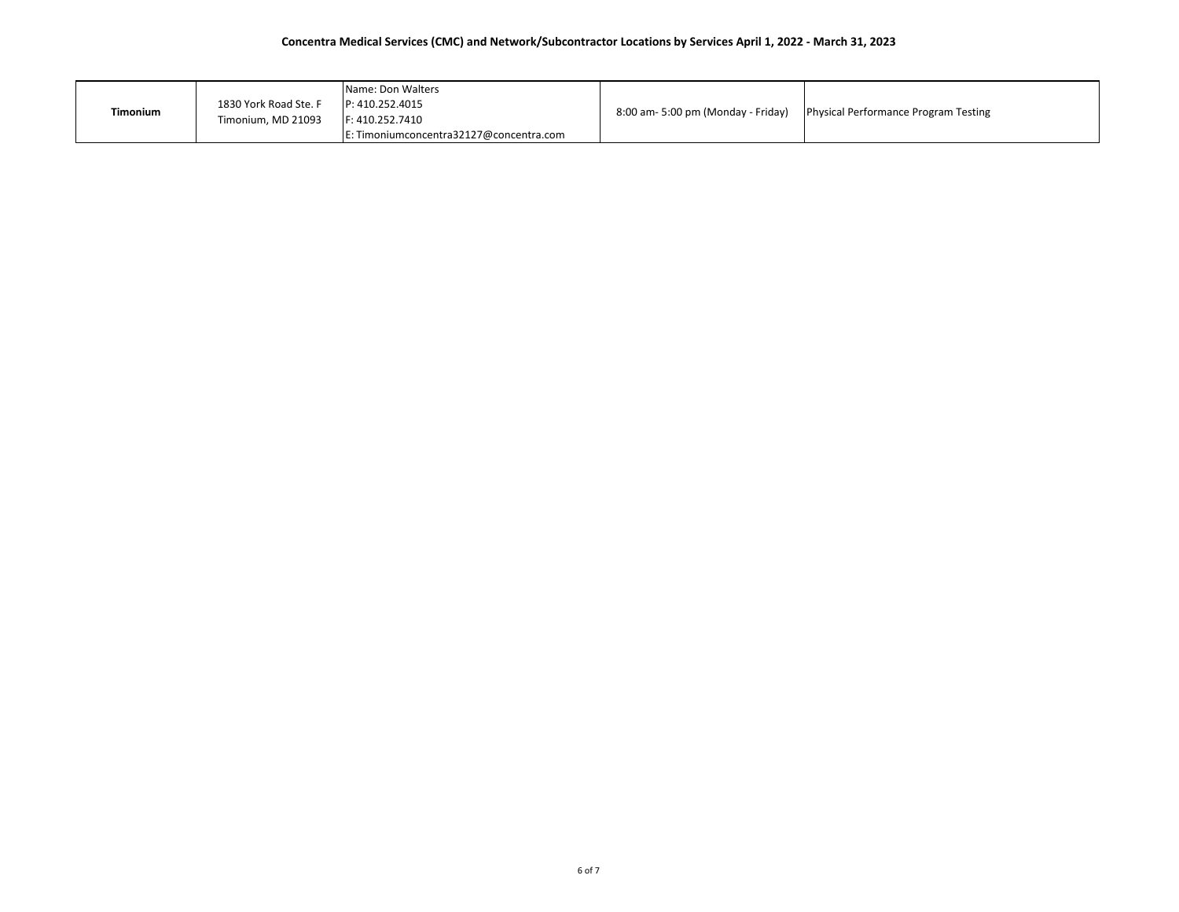## **Concentra Medical Services (CMC) and Network/Subcontractor Locations by Services April 1, 2022 - March 31, 2023**

| <b>Timonium</b> | 1830 York Road Ste. F<br>Timonium. MD 21093 | Name: Don Walters<br>P: 410.252.4015<br>F: 410.252.7410<br>E: Timoniumconcentra32127@concentra.com | 8:00 am- 5:00 pm (Monday - Friday) | Physical Performance Program Testing |
|-----------------|---------------------------------------------|----------------------------------------------------------------------------------------------------|------------------------------------|--------------------------------------|
|-----------------|---------------------------------------------|----------------------------------------------------------------------------------------------------|------------------------------------|--------------------------------------|